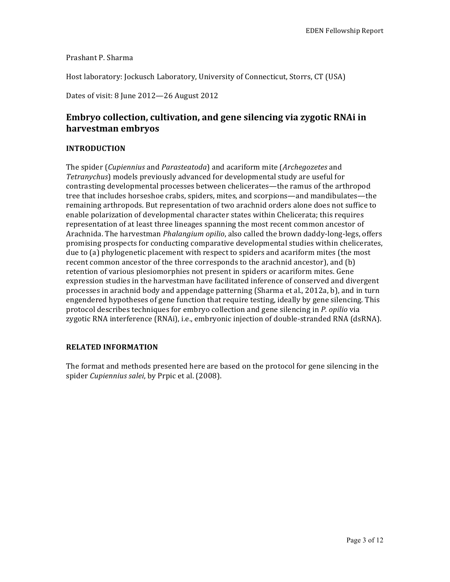Prashant P. Sharma

Host laboratory: Jockusch Laboratory, University of Connecticut, Storrs, CT (USA)

Dates of visit: 8 June 2012-26 August 2012

# **Embryo collection, cultivation, and gene silencing via zygotic RNAi in harvestman embryos**

# **INTRODUCTION**

The spider (*Cupiennius* and *Parasteatoda*) and acariform mite (*Archegozetes* and *Tetranychus*) models previously advanced for developmental study are useful for contrasting developmental processes between chelicerates—the ramus of the arthropod tree that includes horseshoe crabs, spiders, mites, and scorpions—and mandibulates—the remaining arthropods. But representation of two arachnid orders alone does not suffice to enable polarization of developmental character states within Chelicerata; this requires representation of at least three lineages spanning the most recent common ancestor of Arachnida. The harvestman *Phalangium opilio*, also called the brown daddy-long-legs, offers promising prospects for conducting comparative developmental studies within chelicerates, due to (a) phylogenetic placement with respect to spiders and acariform mites (the most recent common ancestor of the three corresponds to the arachnid ancestor), and  $(b)$ retention of various plesiomorphies not present in spiders or acariform mites. Gene expression studies in the harvestman have facilitated inference of conserved and divergent processes in arachnid body and appendage patterning (Sharma et al., 2012a, b), and in turn engendered hypotheses of gene function that require testing, ideally by gene silencing. This protocol describes techniques for embryo collection and gene silencing in *P. opilio* via zygotic RNA interference (RNAi), i.e., embryonic injection of double-stranded RNA (dsRNA).

# **RELATED INFORMATION**

The format and methods presented here are based on the protocol for gene silencing in the spider *Cupiennius salei*, by Prpic et al. (2008).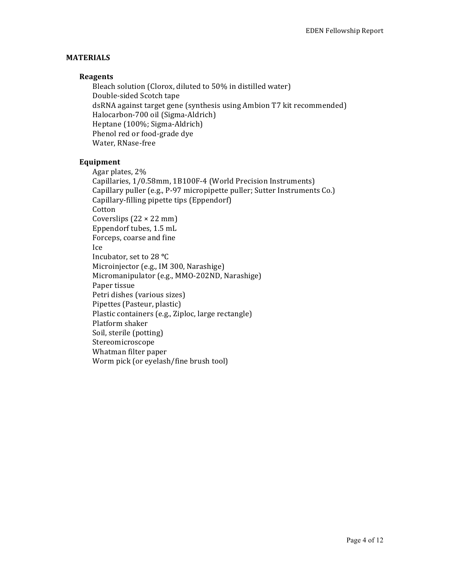# **MATERIALS**

# **Reagents**

Bleach solution (Clorox, diluted to 50% in distilled water) Double-sided Scotch tape dsRNA against target gene (synthesis using Ambion T7 kit recommended) Halocarbon-700 oil (Sigma-Aldrich) Heptane (100%; Sigma-Aldrich) Phenol red or food-grade dye Water, RNase-free

#### **Equipment**

Agar plates, 2% Capillaries, 1/0.58mm, 1B100F-4 (World Precision Instruments) Capillary puller (e.g., P-97 micropipette puller; Sutter Instruments Co.) Capillary-filling pipette tips (Eppendorf) Cotton Coverslips  $(22 \times 22 \text{ mm})$ Eppendorf tubes, 1.5 mL Forceps, coarse and fine Ice Incubator, set to 28 **°**C Microinjector (e.g., IM 300, Narashige) Micromanipulator (e.g., MMO-202ND, Narashige) Paper tissue Petri dishes (various sizes) Pipettes (Pasteur, plastic) Plastic containers (e.g., Ziploc, large rectangle) Platform shaker Soil, sterile (potting) Stereomicroscope Whatman filter paper Worm pick (or eyelash/fine brush tool)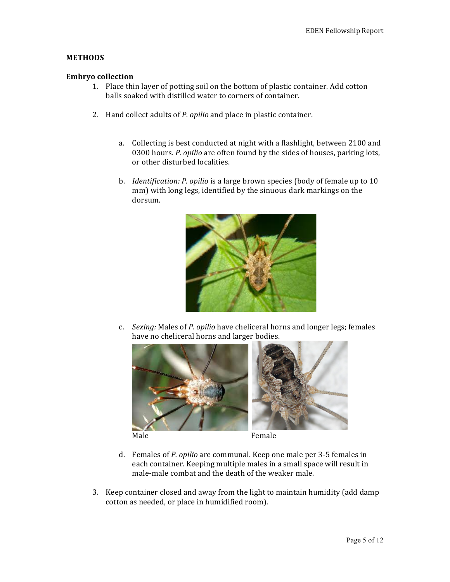# **METHODS**

### **Embryo collection**

- 1. Place thin layer of potting soil on the bottom of plastic container. Add cotton balls soaked with distilled water to corners of container.
- 2. Hand collect adults of *P. opilio* and place in plastic container.
	- a. Collecting is best conducted at night with a flashlight, between 2100 and 0300 hours. *P. opilio* are often found by the sides of houses, parking lots, or other disturbed localities.
	- b. *Identification: P. opilio* is a large brown species (body of female up to 10 mm) with long legs, identified by the sinuous dark markings on the dorsum.



c. *Sexing:* Males of *P. opilio* have cheliceral horns and longer legs; females have no cheliceral horns and larger bodies.



- d. Females of *P. opilio* are communal. Keep one male per 3-5 females in each container. Keeping multiple males in a small space will result in male-male combat and the death of the weaker male.
- 3. Keep container closed and away from the light to maintain humidity (add damp) cotton as needed, or place in humidified room).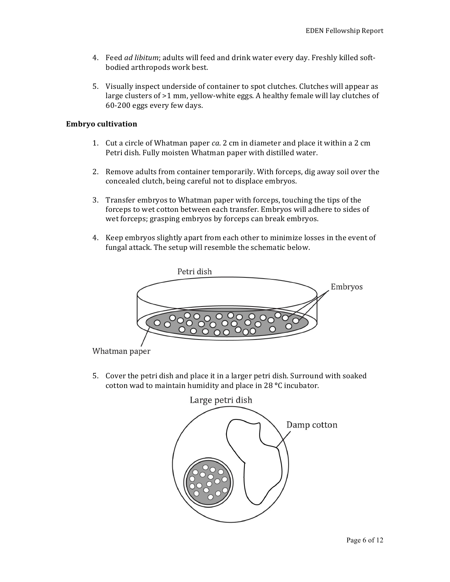- 4. Feed *ad libitum*; adults will feed and drink water every day. Freshly killed softbodied arthropods work best.
- 5. Visually inspect underside of container to spot clutches. Clutches will appear as large clusters of  $>1$  mm, yellow-white eggs. A healthy female will lay clutches of 60-200 eggs every few days.

#### **Embryo cultivation**

- 1. Cut a circle of Whatman paper *ca*. 2 cm in diameter and place it within a 2 cm Petri dish. Fully moisten Whatman paper with distilled water.
- 2. Remove adults from container temporarily. With forceps, dig away soil over the concealed clutch, being careful not to displace embryos.
- 3. Transfer embryos to Whatman paper with forceps, touching the tips of the forceps to wet cotton between each transfer. Embryos will adhere to sides of wet forceps; grasping embryos by forceps can break embryos.
- 4. Keep embryos slightly apart from each other to minimize losses in the event of fungal attack. The setup will resemble the schematic below.



Whatman paper

5. Cover the petri dish and place it in a larger petri dish. Surround with soaked cotton wad to maintain humidity and place in 28 °C incubator.

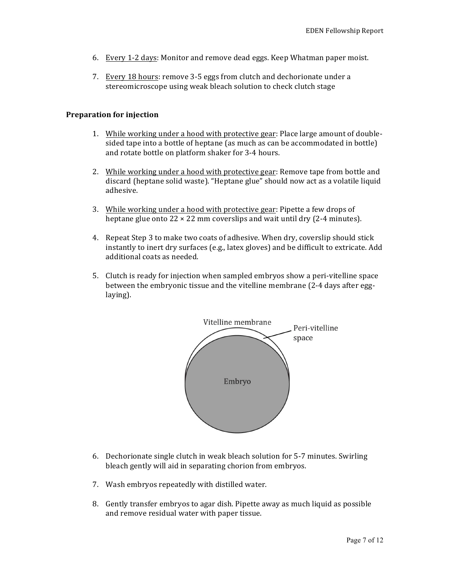- 6. Every 1-2 days: Monitor and remove dead eggs. Keep Whatman paper moist.
- 7. Every 18 hours: remove 3-5 eggs from clutch and dechorionate under a stereomicroscope using weak bleach solution to check clutch stage

### **Preparation for injection**

- 1. While working under a hood with protective gear: Place large amount of doublesided tape into a bottle of heptane (as much as can be accommodated in bottle) and rotate bottle on platform shaker for 3-4 hours.
- 2. While working under a hood with protective gear: Remove tape from bottle and discard (heptane solid waste). "Heptane glue" should now act as a volatile liquid adhesive.
- 3. While working under a hood with protective gear: Pipette a few drops of heptane glue onto  $22 \times 22$  mm coverslips and wait until dry (2-4 minutes).
- 4. Repeat Step 3 to make two coats of adhesive. When dry, coverslip should stick instantly to inert dry surfaces  $(e.g.,\text{ later gloves})$  and be difficult to extricate. Add additional coats as needed.
- 5. Clutch is ready for injection when sampled embryos show a peri-vitelline space between the embryonic tissue and the vitelline membrane (2-4 days after egglaying).



- 6. Dechorionate single clutch in weak bleach solution for 5-7 minutes. Swirling bleach gently will aid in separating chorion from embryos.
- 7. Wash embryos repeatedly with distilled water.
- 8. Gently transfer embryos to agar dish. Pipette away as much liquid as possible and remove residual water with paper tissue.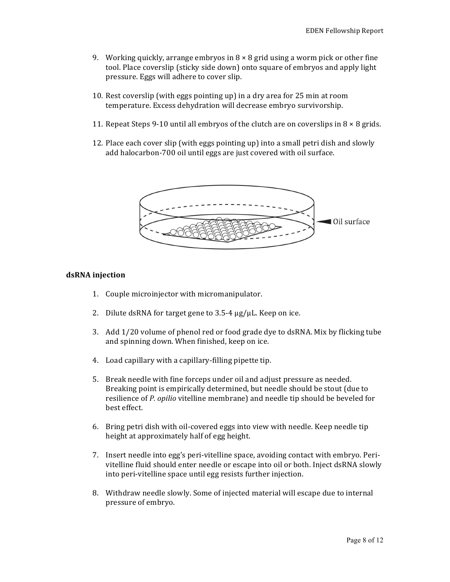- 9. Working quickly, arrange embryos in  $8 \times 8$  grid using a worm pick or other fine tool. Place coverslip (sticky side down) onto square of embryos and apply light pressure. Eggs will adhere to cover slip.
- 10. Rest coverslip (with eggs pointing up) in a dry area for 25 min at room temperature. Excess dehydration will decrease embryo survivorship.
- 11. Repeat Steps 9-10 until all embryos of the clutch are on coverslips in  $8 \times 8$  grids.
- 12. Place each cover slip (with eggs pointing up) into a small petri dish and slowly add halocarbon-700 oil until eggs are just covered with oil surface.



#### **dsRNA injection**

- 1. Couple microinjector with micromanipulator.
- 2. Dilute dsRNA for target gene to  $3.5-4 \mu$ g/μL. Keep on ice.
- 3. Add  $1/20$  volume of phenol red or food grade dye to dsRNA. Mix by flicking tube and spinning down. When finished, keep on ice.
- 4. Load capillary with a capillary-filling pipette tip.
- 5. Break needle with fine forceps under oil and adjust pressure as needed. Breaking point is empirically determined, but needle should be stout (due to resilience of *P. opilio* vitelline membrane) and needle tip should be beveled for best effect.
- 6. Bring petri dish with oil-covered eggs into view with needle. Keep needle tip height at approximately half of egg height.
- 7. Insert needle into egg's peri-vitelline space, avoiding contact with embryo. Perivitelline fluid should enter needle or escape into oil or both. Inject dsRNA slowly into peri-vitelline space until egg resists further injection.
- 8. Withdraw needle slowly. Some of injected material will escape due to internal pressure of embryo.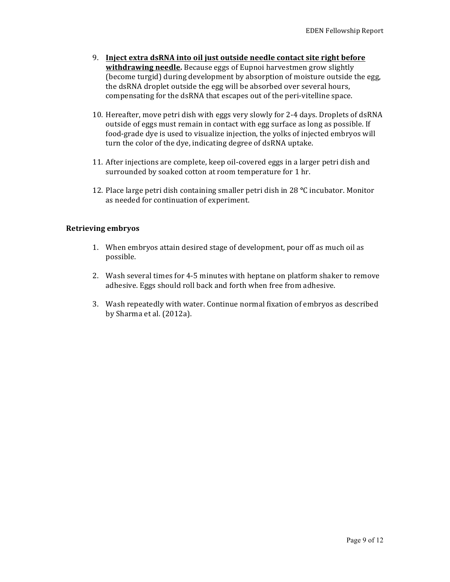- 9. Inject extra dsRNA into oil just outside needle contact site right before **withdrawing needle.** Because eggs of Eupnoi harvestmen grow slightly (become turgid) during development by absorption of moisture outside the egg, the dsRNA droplet outside the egg will be absorbed over several hours, compensating for the dsRNA that escapes out of the peri-vitelline space.
- 10. Hereafter, move petri dish with eggs very slowly for 2-4 days. Droplets of dsRNA outside of eggs must remain in contact with egg surface as long as possible. If food-grade dye is used to visualize injection, the yolks of injected embryos will turn the color of the dye, indicating degree of dsRNA uptake.
- 11. After injections are complete, keep oil-covered eggs in a larger petri dish and surrounded by soaked cotton at room temperature for 1 hr.
- 12. Place large petri dish containing smaller petri dish in 28 °C incubator. Monitor as needed for continuation of experiment.

# **Retrieving embryos**

- 1. When embryos attain desired stage of development, pour off as much oil as possible.
- 2. Wash several times for 4-5 minutes with heptane on platform shaker to remove adhesive. Eggs should roll back and forth when free from adhesive.
- 3. Wash repeatedly with water. Continue normal fixation of embryos as described by Sharma et al. (2012a).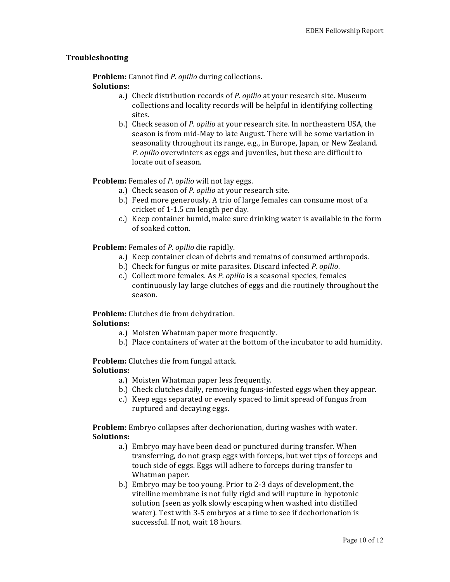# **Troubleshooting**

**Problem:** Cannot find *P. opilio* during collections. **Solutions:** 

- a.) Check distribution records of *P. opilio* at your research site. Museum collections and locality records will be helpful in identifying collecting sites.
- b.) Check season of *P. opilio* at your research site. In northeastern USA, the season is from mid-May to late August. There will be some variation in seasonality throughout its range, e.g., in Europe, Japan, or New Zealand. *P.* opilio overwinters as eggs and juveniles, but these are difficult to locate out of season.

# **Problem:** Females of *P. opilio* will not lay eggs.

- a.) Check season of *P. opilio* at your research site.
- b.) Feed more generously. A trio of large females can consume most of a cricket of 1-1.5 cm length per day.
- c.) Keep container humid, make sure drinking water is available in the form of soaked cotton.

# **Problem:** Females of *P. opilio* die rapidly.

- a.) Keep container clean of debris and remains of consumed arthropods.
- b.) Check for fungus or mite parasites. Discard infected *P. opilio*.
- c.) Collect more females. As *P. opilio* is a seasonal species, females continuously lay large clutches of eggs and die routinely throughout the season.

**Problem:** Clutches die from dehydration.

#### **Solutions:**

- a.) Moisten Whatman paper more frequently.
- b.) Place containers of water at the bottom of the incubator to add humidity.

# **Problem:** Clutches die from fungal attack.

#### **Solutions:**

- a.) Moisten Whatman paper less frequently.
- b.) Check clutches daily, removing fungus-infested eggs when they appear.
- c.) Keep eggs separated or evenly spaced to limit spread of fungus from ruptured and decaying eggs.

**Problem:** Embryo collapses after dechorionation, during washes with water. **Solutions:**

- a.) Embryo may have been dead or punctured during transfer. When transferring, do not grasp eggs with forceps, but wet tips of forceps and touch side of eggs. Eggs will adhere to forceps during transfer to Whatman paper.
- b.) Embryo may be too young. Prior to 2-3 days of development, the vitelline membrane is not fully rigid and will rupture in hypotonic solution (seen as yolk slowly escaping when washed into distilled water). Test with 3-5 embryos at a time to see if dechorionation is successful. If not, wait 18 hours.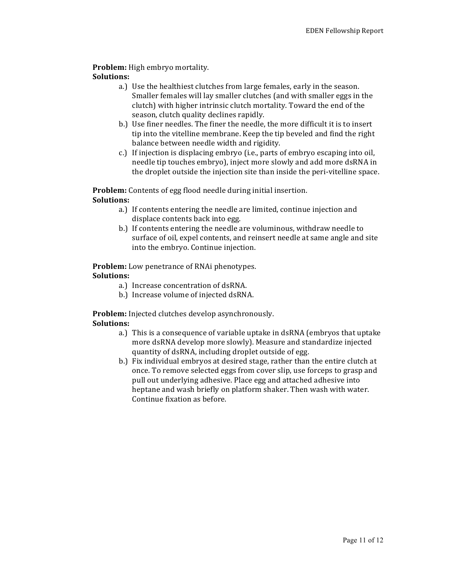**Problem:** High embryo mortality.

# **Solutions:**

- a.) Use the healthiest clutches from large females, early in the season. Smaller females will lay smaller clutches (and with smaller eggs in the clutch) with higher intrinsic clutch mortality. Toward the end of the season, clutch quality declines rapidly.
- b.) Use finer needles. The finer the needle, the more difficult it is to insert tip into the vitelline membrane. Keep the tip beveled and find the right balance between needle width and rigidity.
- c.) If injection is displacing embryo (i.e., parts of embryo escaping into oil, needle tip touches embryo), inject more slowly and add more dsRNA in the droplet outside the injection site than inside the peri-vitelline space.

**Problem:** Contents of egg flood needle during initial insertion.

# **Solutions:**

- a.) If contents entering the needle are limited, continue injection and displace contents back into egg.
- b.) If contents entering the needle are voluminous, withdraw needle to surface of oil, expel contents, and reinsert needle at same angle and site into the embryo. Continue injection.

#### **Problem:** Low penetrance of RNAi phenotypes. **Solutions:**

- a.) Increase concentration of dsRNA.
- b.) Increase volume of injected dsRNA.

**Problem:** Injected clutches develop asynchronously. **Solutions:** 

- a.) This is a consequence of variable uptake in dsRNA (embryos that uptake more dsRNA develop more slowly). Measure and standardize injected quantity of dsRNA, including droplet outside of egg.
- b.) Fix individual embryos at desired stage, rather than the entire clutch at once. To remove selected eggs from cover slip, use forceps to grasp and pull out underlying adhesive. Place egg and attached adhesive into heptane and wash briefly on platform shaker. Then wash with water. Continue fixation as before.